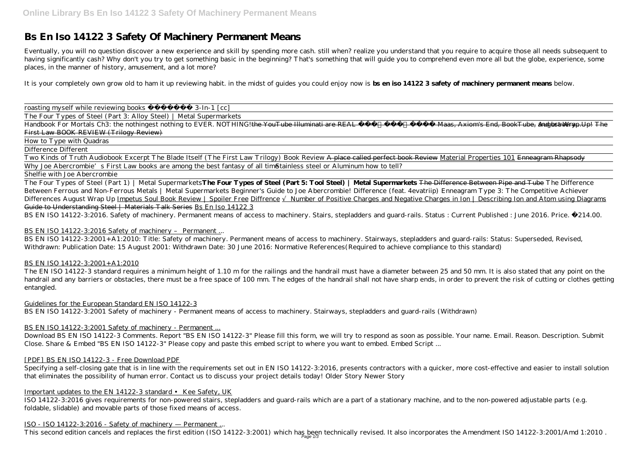# **Bs En Iso 14122 3 Safety Of Machinery Permanent Means**

Eventually, you will no question discover a new experience and skill by spending more cash. still when? realize you understand that you require to acquire those all needs subsequent to having significantly cash? Why don't you try to get something basic in the beginning? That's something that will guide you to comprehend even more all but the globe, experience, some places, in the manner of history, amusement, and a lot more?

Two Kinds of Truth Audiobook Excerpt The Blade Itself (The First Law Trilogy) Book Review A place called perfect book Review Material Properties 101 Enneagram Rhapsody Why Joe Abercrombie's First Law books are among the best fantasy of all times tainless steel or Aluminum how to tell?

It is your completely own grow old to ham it up reviewing habit. in the midst of guides you could enjoy now is **bs en iso 14122 3 safety of machinery permanent means** below.

roasting myself while reviewing books 3-In-1 [cc]

The Four Types of Steel (Part 3: Alloy Steel) | Metal Supermarkets

Handbook For Mortals Ch3: the nothingest nothing to EVER. NOTHING!the YouTube Illuminati are REAL Sarah J Maas, Axiom's End, BookTube, and bravery. August Wrap Up! The First Law BOOK REVIEW (Trilogy Review)

#### How to Type with Quadras

Difference Different

## Shelfie with Joe Abercrombie

The Four Types of Steel (Part 1) | Metal Supermarkets**The Four Types of Steel (Part 5: Tool Steel) | Metal Supermarkets** The Difference Between Pipe and Tube *The Difference Between Ferrous and Non-Ferrous Metals | Metal Supermarkets Beginner's Guide to Joe Abercrombie! Difference (feat. 4evatriip)* Enneagram Type 3: The Competitive Achiever Differences August Wrap Up Impetus Soul Book Review | Spoiler Free Diffrence ∧umber of Positive Charges and Negative Charges in Ion | Describing Ion and Atom using Diagrams Guide to Understanding Steel | Materials Talk Series Bs En Iso 14122 3

BS EN ISO 14122-3:2016. Safety of machinery. Permanent means of access to machinery. Stairs, stepladders and guard-rails. Status : Current Published : June 2016. Price. £214.00.

## BS EN ISO 14122-3:2016 Safety of machinery - Permanent ...

Specifying a self-closing gate that is in line with the requirements set out in EN ISO 14122-3:2016, presents contractors with a quicker, more cost-effective and easier to install solution that eliminates the possibility of human error. Contact us to discuss your project details today! Older Story Newer Story

BS EN ISO 14122-3:2001+A1:2010: Title: Safety of machinery. Permanent means of access to machinery. Stairways, stepladders and guard-rails: Status: Superseded, Revised, Withdrawn: Publication Date: 15 August 2001: Withdrawn Date: 30 June 2016: Normative References(Required to achieve compliance to this standard)

## BS EN ISO 14122-3:2001+A1:2010

The EN ISO 14122-3 standard requires a minimum height of 1.10 m for the railings and the handrail must have a diameter between 25 and 50 mm. It is also stated that any point on the handrail and any barriers or obstacles, there must be a free space of 100 mm. The edges of the handrail shall not have sharp ends, in order to prevent the risk of cutting or clothes getting entangled.

## Guidelines for the European Standard EN ISO 14122-3

BS EN ISO 14122-3:2001 Safety of machinery - Permanent means of access to machinery. Stairways, stepladders and guard-rails (Withdrawn)

## BS EN ISO 14122-3:2001 Safety of machinery - Permanent ...

Download BS EN ISO 14122-3 Comments. Report "BS EN ISO 14122-3" Please fill this form, we will try to respond as soon as possible. Your name. Email. Reason. Description. Submit Close. Share & Embed "BS EN ISO 14122-3" Please copy and paste this embed script to where you want to embed. Embed Script ...

## [PDF] BS EN ISO 14122-3 - Free Download PDF

## Important updates to the EN 14122-3 standard • Kee Safety, UK

ISO 14122-3:2016 gives requirements for non-powered stairs, stepladders and guard-rails which are a part of a stationary machine, and to the non-powered adjustable parts (e.g. foldable, slidable) and movable parts of those fixed means of access.

## ISO - ISO 14122-3:2016 - Safety of machinery — Permanent ...

This second edition cancels and replaces the first edition (ISO 14122-3:2001) which has been technically revised. It also incorporates the Amendment ISO 14122-3:2001/Amd 1:2010 .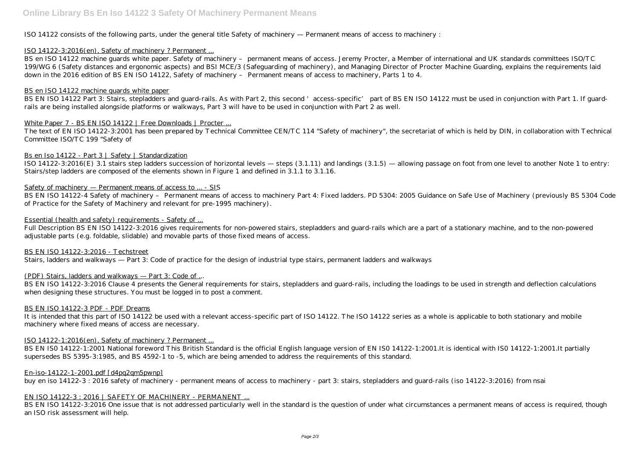ISO 14122 consists of the following parts, under the general title Safety of machinery — Permanent means of access to machinery :

## ISO 14122-3:2016(en), Safety of machinery ? Permanent ...

BS en ISO 14122 machine guards white paper. Safety of machinery - permanent means of access. Jeremy Procter, a Member of international and UK standards committees ISO/TC 199/WG 6 (Safety distances and ergonomic aspects) and BSI MCE/3 (Safeguarding of machinery), and Managing Director of Procter Machine Guarding, explains the requirements laid down in the 2016 edition of BS EN ISO 14122, Safety of machinery – Permanent means of access to machinery, Parts 1 to 4.

BS EN ISO 14122 Part 3: Stairs, stepladders and guard-rails. As with Part 2, this second 'access-specific' part of BS EN ISO 14122 must be used in conjunction with Part 1. If guardrails are being installed alongside platforms or walkways, Part 3 will have to be used in conjunction with Part 2 as well.

#### White Paper 7 - BS EN ISO 14122 | Free Downloads | Procter ...

## BS en ISO 14122 machine guards white paper

The text of EN ISO 14122-3:2001 has been prepared by Technical Committee CEN/TC 114 "Safety of machinery", the secretariat of which is held by DIN, in collaboration with Technical Committee ISO/TC 199 "Safety of

#### Bs en Iso 14122 - Part 3 | Safety | Standardization

BS EN ISO 14122-3:2016 Clause 4 presents the General requirements for stairs, stepladders and guard-rails, including the loadings to be used in strength and deflection calculations when designing these structures. You must be logged in to post a comment.

ISO 14122-3:2016(E) 3.1 stairs step ladders succession of horizontal levels — steps (3.1.11) and landings (3.1.5) — allowing passage on foot from one level to another Note 1 to entry: Stairs/step ladders are composed of the elements shown in Figure 1 and defined in 3.1.1 to 3.1.16.

#### Safety of machinery — Permanent means of access to ... - SIS

BS EN ISO 14122-1:2001 National foreword This British Standard is the official English language version of EN ISO 14122-1:2001.It is identical with ISO 14122-1:2001.It partially supersedes BS 5395-3:1985, and BS 4592-1 to -5, which are being amended to address the requirements of this standard.

BS EN ISO 14122-4 Safety of machinery – Permanent means of access to machinery Part 4: Fixed ladders. PD 5304: 2005 Guidance on Safe Use of Machinery (previously BS 5304 Code of Practice for the Safety of Machinery and relevant for pre-1995 machinery).

BS EN ISO 14122-3:2016 One issue that is not addressed particularly well in the standard is the question of under what circumstances a permanent means of access is required, though an ISO risk assessment will help.

## Essential (health and safety) requirements - Safety of ...

Full Description BS EN ISO 14122-3:2016 gives requirements for non-powered stairs, stepladders and guard-rails which are a part of a stationary machine, and to the non-powered adjustable parts (e.g. foldable, slidable) and movable parts of those fixed means of access.

#### BS EN ISO 14122-3:2016 - Techstreet

Stairs, ladders and walkways — Part 3: Code of practice for the design of industrial type stairs, permanent ladders and walkways

## (PDF) Stairs, ladders and walkways — Part 3: Code of ...

#### BS EN ISO 14122-3 PDF - PDF Dreams

It is intended that this part of ISO 14122 be used with a relevant access-specific part of ISO 14122. The ISO 14122 series as a whole is applicable to both stationary and mobile machinery where fixed means of access are necessary.

## ISO 14122-1:2016(en), Safety of machinery ? Permanent ...

#### En-iso-14122-1-2001.pdf [d4pq2qm5pwnp]

buy en iso 14122-3 : 2016 safety of machinery - permanent means of access to machinery - part 3: stairs, stepladders and guard-rails (iso 14122-3:2016) from nsai

## EN ISO 14122-3 : 2016 | SAFETY OF MACHINERY - PERMANENT ...